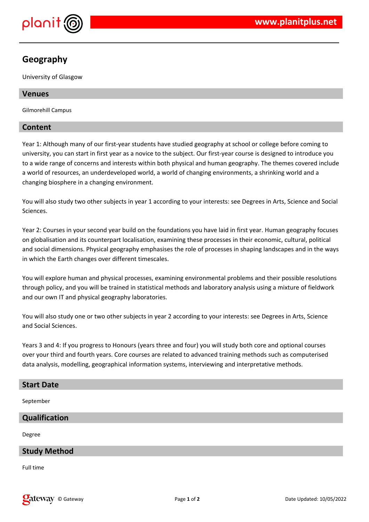

# **Geography**

University of Glasgow

# **Venues**

Gilmorehill Campus

# **Content**

Year 1: Although many of our first-year students have studied geography at school or college before coming to university, you can start in first year as a novice to the subject. Our first-year course is designed to introduce you to a wide range of concerns and interests within both physical and human geography. The themes covered include a world of resources, an underdeveloped world, a world of changing environments, a shrinking world and a changing biosphere in a changing environment.

You will also study two other subjects in year 1 according to your interests: see Degrees in Arts, Science and Social Sciences.

Year 2: Courses in your second year build on the foundations you have laid in first year. Human geography focuses on globalisation and its counterpart localisation, examining these processes in their economic, cultural, political and social dimensions. Physical geography emphasises the role of processes in shaping landscapes and in the ways in which the Earth changes over different timescales.

You will explore human and physical processes, examining environmental problems and their possible resolutions through policy, and you will be trained in statistical methods and laboratory analysis using a mixture of fieldwork and our own IT and physical geography laboratories.

You will also study one or two other subjects in year 2 according to your interests: see Degrees in Arts, Science and Social Sciences.

Years 3 and 4: If you progress to Honours (years three and four) you will study both core and optional courses over your third and fourth years. Core courses are related to advanced training methods such as computerised data analysis, modelling, geographical information systems, interviewing and interpretative methods.

# **Start Date**

September

# **Qualification**

Degree

# **Study Method**

Full time